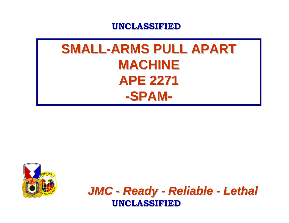## **SMALL-ARMS PULL APART MACHINE MACHINEAPE 2271 APE 2271-SPAM-**



*JMC - Ready - Reliable - Lethal* **UNCLASSIFIED UNCLASSIFIED**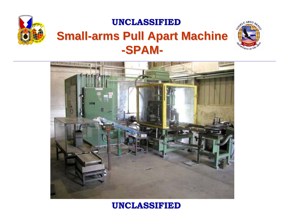

### **UNCLASSIFIED UNCLASSIFIEDSmall-arms Pull Apart Machine -SPAM-**



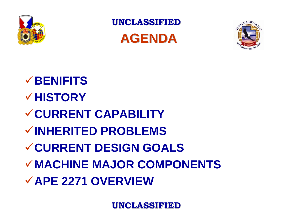

**UNCLASSIFIED UNCLASSIFIEDAGENDA**



**BENIFITSHISTORYCURRENT CAPABILITYINHERITED PROBLEMSCURRENT DESIGN GOALSMACHINE MAJOR COMPONENTSAPE 2271 OVERVIEW**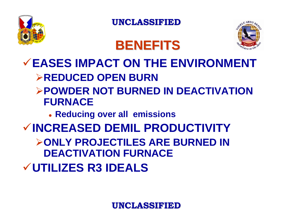

**BENEFITS BENEFITS**



## 9**EASES IMPACT ON THE ENVIRONMENT**¾**REDUCED OPEN BURN**

#### ¾**POWDER NOT BURNED IN DEACTIVATION FURNACE**

z **Reducing over all emissions**

## 9**INCREASED DEMIL PRODUCTIVITY**

¾**ONLY PROJECTILES ARE BURNED IN DEACTIVATION FURNACE**

9**UTILIZES R3 IDEALS**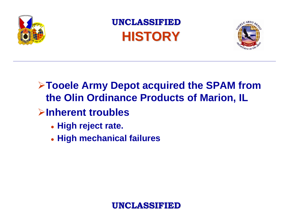

**UNCLASSIFIED UNCLASSIFIEDHISTORY HISTORY**



### ¾**Tooele Army Depot acquired the SPAM from the Olin Ordinance Products of Marion, IL**

### ¾**Inherent troubles**

- z **High reject rate.**
- z **High mechanical failures**

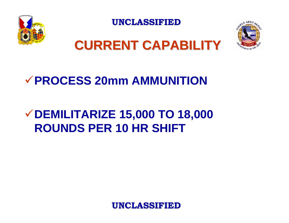



## **CURRENT CAPABILITY CURRENT CAPABILITY**

### 9**PROCESS 20mm AMMUNITION**

## <sup>9</sup>**DEMILITARIZE 15,000 TO 18,000 ROUNDS PER 10 HR SHIFT**

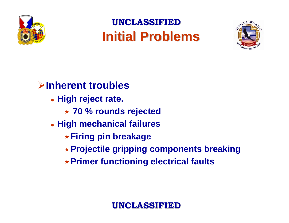

## **UNCLASSIFIED UNCLASSIFIEDInitial Problems**



### ¾**Inherent troubles**

- z **High reject rate.**
	- **70 % rounds rejected**
- z **High mechanical failures**
	- **Firing pin breakage**
	- **Projectile gripping components breaking**
	- **Primer functioning electrical faults**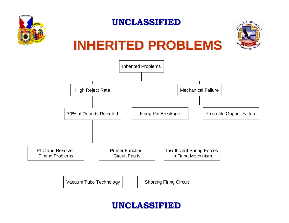



# **INHERITED PROBLEMS INHERITED PROBLEMS**

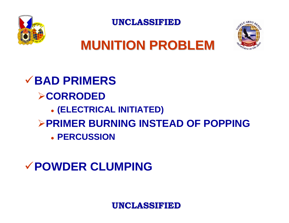



# **MUNITION PROBLEM**

9**BAD PRIMERS**¾**CORRODED**  z **(ELECTRICAL INITIATED)** ¾**PRIMER BURNING INSTEAD OF POPPING**z **PERCUSSION**

### 9**POWDER CLUMPING**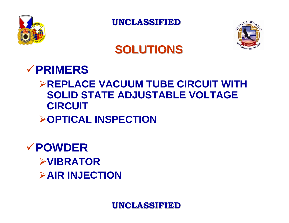



## **SOLUTIONS SOLUTIONS**

### 9**PRIMERS**

### ¾**REPLACE VACUUM TUBE CIRCUIT WITH SOLID STATE ADJUSTABLE VOLTAGE CIRCUIT**

#### ¾**OPTICAL INSPECTION**

### 9**POWDER**¾**VIBRATOR**¾**AIR INJECTION**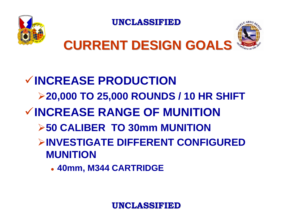



# **CURRENT DESIGN GOALS CURRENT DESIGN GOALS**

## 9**INCREASE PRODUCTION**¾**20,000 TO 25,000 ROUNDS / 10 HR SHIFT** 9**INCREASE RANGE OF MUNITION**¾**50 CALIBER TO 30mm MUNITION**¾**INVESTIGATE DIFFERENT CONFIGURED MUNITION**

z **40mm, M344 CARTRIDGE**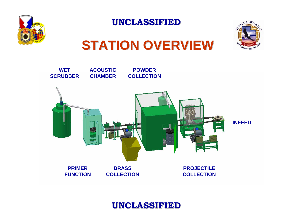



# **STATION OVERVIEW STATION OVERVIEW**

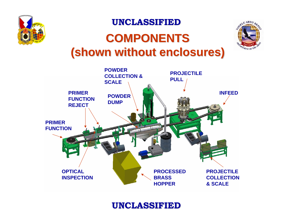

## **COMPONENTS COMPONENTS(shown without enclosures) (shown without enclosures)**



**PRIMER FUNCTIONPRIMER FUNCTION REJECTOPTICAL INSPECTIONPROCESSEDBRASS HOPPERPROJECTILE COLLECTION & SCALEPROJECTILE PULL INFEEDPOWDER COLLECTION & SCALEPOWDER DUMP**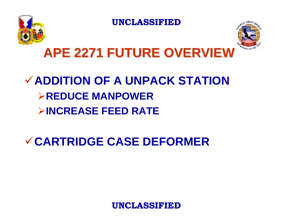



# **APE 2271 FUTURE OVERVIEW APE 2271 FUTURE OVERVIEW**

## 9**ADDITION OF A UNPACK STATION**¾**REDUCE MANPOWER**¾**INCREASE FEED RATE**

9**CARTRIDGE CASE DEFORMER**